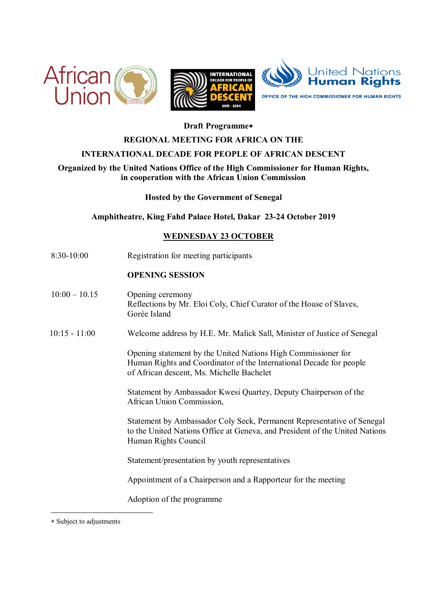



# **Draft Programme**

### **REGIONAL MEETING FOR AFRICA ON THE**

### **INTERNATIONAL DECADE FOR PEOPLE OF AFRICAN DESCENT**

# **Organized by the United Nations Office of the High Commissioner for Human Rights, in cooperation with the African Union Commission**

**Hosted by the Government of Senegal** 

**Amphitheatre, King Fahd Palace Hotel, Dakar 23-24 October 2019** 

#### **WEDNESDAY 23 OCTOBER**

8:30-10:00 Registration for meeting participants

### **OPENING SESSION**

- $10:00 10.15$  Opening ceremony Reflections by Mr. Eloi Coly, Chief Curator of the House of Slaves, Gorée Island
- 10:15 11:00 Welcome address by H.E. Mr. Malick Sall, Minister of Justice of Senegal

Opening statement by the United Nations High Commissioner for Human Rights and Coordinator of the International Decade for people of African descent, Ms. Michelle Bachelet

Statement by Ambassador Kwesi Quartey, Deputy Chairperson of the African Union Commission,

Statement by Ambassador Coly Seck, Permanent Representative of Senegal to the United Nations Office at Geneva, and President of the United Nations Human Rights Council

Statement/presentation by youth representatives

Appointment of a Chairperson and a Rapporteur for the meeting

Adoption of the programme

 $\overline{a}$ 

Subject to adjustments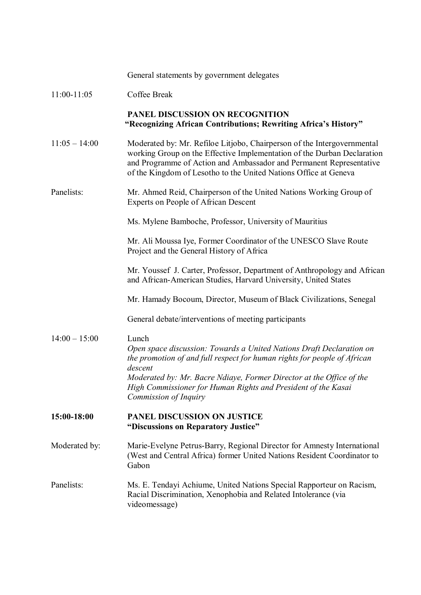|                 | General statements by government delegates                                                                                                                                                                                                                                                                                             |
|-----------------|----------------------------------------------------------------------------------------------------------------------------------------------------------------------------------------------------------------------------------------------------------------------------------------------------------------------------------------|
| 11:00-11:05     | Coffee Break                                                                                                                                                                                                                                                                                                                           |
|                 | PANEL DISCUSSION ON RECOGNITION<br>"Recognizing African Contributions; Rewriting Africa's History"                                                                                                                                                                                                                                     |
| $11:05 - 14:00$ | Moderated by: Mr. Refiloe Litjobo, Chairperson of the Intergovernmental<br>working Group on the Effective Implementation of the Durban Declaration<br>and Programme of Action and Ambassador and Permanent Representative<br>of the Kingdom of Lesotho to the United Nations Office at Geneva                                          |
| Panelists:      | Mr. Ahmed Reid, Chairperson of the United Nations Working Group of<br><b>Experts on People of African Descent</b>                                                                                                                                                                                                                      |
|                 | Ms. Mylene Bamboche, Professor, University of Mauritius                                                                                                                                                                                                                                                                                |
|                 | Mr. Ali Moussa Iye, Former Coordinator of the UNESCO Slave Route<br>Project and the General History of Africa                                                                                                                                                                                                                          |
|                 | Mr. Youssef J. Carter, Professor, Department of Anthropology and African<br>and African-American Studies, Harvard University, United States                                                                                                                                                                                            |
|                 | Mr. Hamady Bocoum, Director, Museum of Black Civilizations, Senegal                                                                                                                                                                                                                                                                    |
|                 | General debate/interventions of meeting participants                                                                                                                                                                                                                                                                                   |
| $14:00 - 15:00$ | Lunch<br>Open space discussion: Towards a United Nations Draft Declaration on<br>the promotion of and full respect for human rights for people of African<br>descent<br>Moderated by: Mr. Bacre Ndiaye, Former Director at the Office of the<br>High Commissioner for Human Rights and President of the Kasai<br>Commission of Inquiry |
| 15:00-18:00     | PANEL DISCUSSION ON JUSTICE<br>"Discussions on Reparatory Justice"                                                                                                                                                                                                                                                                     |
| Moderated by:   | Marie-Evelyne Petrus-Barry, Regional Director for Amnesty International<br>(West and Central Africa) former United Nations Resident Coordinator to<br>Gabon                                                                                                                                                                            |
| Panelists:      | Ms. E. Tendayi Achiume, United Nations Special Rapporteur on Racism,<br>Racial Discrimination, Xenophobia and Related Intolerance (via<br>videomessage)                                                                                                                                                                                |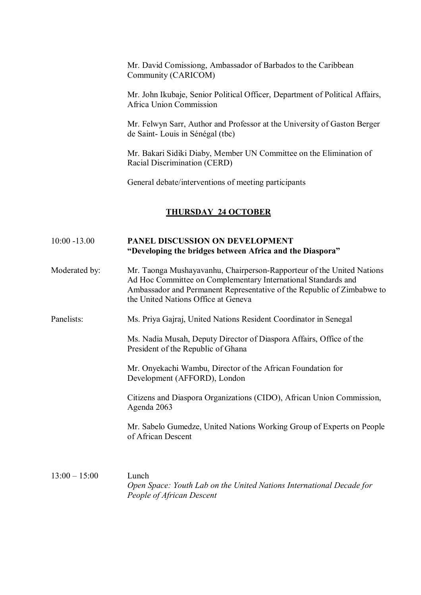|                 | Mr. David Comissiong, Ambassador of Barbados to the Caribbean<br>Community (CARICOM)                                                                                                                                                                    |
|-----------------|---------------------------------------------------------------------------------------------------------------------------------------------------------------------------------------------------------------------------------------------------------|
|                 | Mr. John Ikubaje, Senior Political Officer, Department of Political Affairs,<br>Africa Union Commission                                                                                                                                                 |
|                 | Mr. Felwyn Sarr, Author and Professor at the University of Gaston Berger<br>de Saint-Louis in Sénégal (tbc)                                                                                                                                             |
|                 | Mr. Bakari Sidiki Diaby, Member UN Committee on the Elimination of<br>Racial Discrimination (CERD)                                                                                                                                                      |
|                 | General debate/interventions of meeting participants                                                                                                                                                                                                    |
|                 | <b>THURSDAY 24 OCTOBER</b>                                                                                                                                                                                                                              |
| $10:00 - 13.00$ | PANEL DISCUSSION ON DEVELOPMENT<br>"Developing the bridges between Africa and the Diaspora"                                                                                                                                                             |
| Moderated by:   | Mr. Taonga Mushayavanhu, Chairperson-Rapporteur of the United Nations<br>Ad Hoc Committee on Complementary International Standards and<br>Ambassador and Permanent Representative of the Republic of Zimbabwe to<br>the United Nations Office at Geneva |
| Panelists:      | Ms. Priya Gajraj, United Nations Resident Coordinator in Senegal                                                                                                                                                                                        |
|                 | Ms. Nadia Musah, Deputy Director of Diaspora Affairs, Office of the<br>President of the Republic of Ghana                                                                                                                                               |
|                 | Mr. Onyekachi Wambu, Director of the African Foundation for<br>Development (AFFORD), London                                                                                                                                                             |
|                 | Citizens and Diaspora Organizations (CIDO), African Union Commission,<br>Agenda 2063                                                                                                                                                                    |
|                 | Mr. Sabelo Gumedze, United Nations Working Group of Experts on People<br>of African Descent                                                                                                                                                             |
| $13:00 - 15:00$ | Lunch                                                                                                                                                                                                                                                   |

*Open Space: Youth Lab on the United Nations International Decade for People of African Descent*